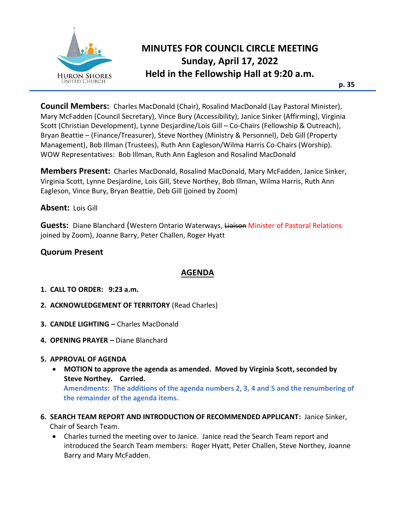

# **MINUTES FOR COUNCIL CIRCLE MEETING Sunday, April 17, 2022 Held in the Fellowship Hall at 9:20 a.m.**

**Council Members:** Charles MacDonald (Chair), Rosalind MacDonald (Lay Pastoral Minister), Mary McFadden (Council Secretary), Vince Bury (Accessibility), Janice Sinker (Affirming), Virginia Scott (Christian Development), Lynne Desjardine/Lois Gill – Co-Chairs (Fellowship & Outreach), Bryan Beattie – (Finance/Treasurer), Steve Northey (Ministry & Personnel), Deb Gill (Property Management), Bob Illman (Trustees), Ruth Ann Eagleson/Wilma Harris Co-Chairs (Worship). WOW Representatives: Bob Illman, Ruth Ann Eagleson and Rosalind MacDonald

**Members Present:** Charles MacDonald, Rosalind MacDonald, Mary McFadden, Janice Sinker, Virginia Scott, Lynne Desjardine, Lois Gill, Steve Northey, Bob Illman, Wilma Harris, Ruth Ann Eagleson, Vince Bury, Bryan Beattie, Deb Gill (joined by Zoom)

**Absent:** Lois Gill

Guests: Diane Blanchard (Western Ontario Waterways, Liaison Minister of Pastoral Relations joined by Zoom), Joanne Barry, Peter Challen, Roger Hyatt

## **Quorum Present**

## **AGENDA**

- **1. CALL TO ORDER: 9:23 a.m.**
- **2. ACKNOWLEDGEMENT OF TERRITORY** (Read Charles)
- **3. CANDLE LIGHTING –** Charles MacDonald
- **4. OPENING PRAYER –** Diane Blanchard

#### **5. APPROVAL OF AGENDA**

- **MOTION to approve the agenda as amended. Moved by Virginia Scott, seconded by Steve Northey. Carried. Amendments: The additions of the agenda numbers 2, 3, 4 and 5 and the renumbering of the remainder of the agenda items.**
- **6. SEARCH TEAM REPORT AND INTRODUCTION OF RECOMMENDED APPLICANT:** Janice Sinker, Chair of Search Team.
	- Charles turned the meeting over to Janice. Janice read the Search Team report and introduced the Search Team members: Roger Hyatt, Peter Challen, Steve Northey, Joanne Barry and Mary McFadden.